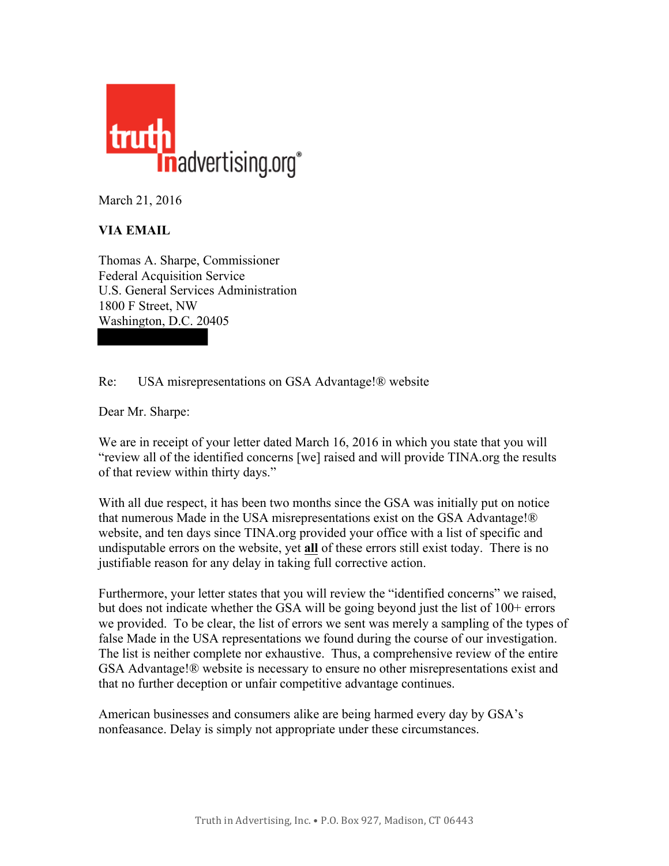

March 21, 2016

## **VIA EMAIL**

Thomas A. Sharpe, Commissioner Federal Acquisition Service U.S. General Services Administration 1800 F Street, NW Washington, D.C. 20405

## Re: USA misrepresentations on GSA Advantage!® website

Dear Mr. Sharpe:

We are in receipt of your letter dated March 16, 2016 in which you state that you will "review all of the identified concerns [we] raised and will provide TINA.org the results of that review within thirty days."

With all due respect, it has been two months since the GSA was initially put on notice that numerous Made in the USA misrepresentations exist on the GSA Advantage!® website, and ten days since TINA.org provided your office with a list of specific and undisputable errors on the website, yet **all** of these errors still exist today. There is no justifiable reason for any delay in taking full corrective action.

Furthermore, your letter states that you will review the "identified concerns" we raised, but does not indicate whether the GSA will be going beyond just the list of 100+ errors we provided. To be clear, the list of errors we sent was merely a sampling of the types of false Made in the USA representations we found during the course of our investigation. The list is neither complete nor exhaustive. Thus, a comprehensive review of the entire GSA Advantage!® website is necessary to ensure no other misrepresentations exist and that no further deception or unfair competitive advantage continues.

American businesses and consumers alike are being harmed every day by GSA's nonfeasance. Delay is simply not appropriate under these circumstances.